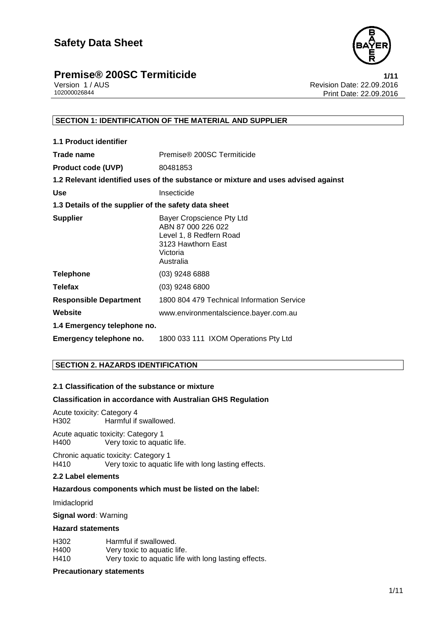

# **Premise® 200SC Termiticide**<br>1/11 Version 1/AUS **1/10** Version 1/AUS

Version 1 / AUS<br>
102000026844<br>
Print Date: 22.09.2016 Print Date: 22.09.2016

# **SECTION 1: IDENTIFICATION OF THE MATERIAL AND SUPPLIER**

| <b>1.1 Product identifier</b>                        |                                                                                                                           |
|------------------------------------------------------|---------------------------------------------------------------------------------------------------------------------------|
| Trade name                                           | Premise <sup>®</sup> 200SC Termiticide                                                                                    |
| <b>Product code (UVP)</b>                            | 80481853                                                                                                                  |
|                                                      | 1.2 Relevant identified uses of the substance or mixture and uses advised against                                         |
| <b>Use</b>                                           | Insecticide                                                                                                               |
| 1.3 Details of the supplier of the safety data sheet |                                                                                                                           |
| <b>Supplier</b>                                      | Bayer Cropscience Pty Ltd<br>ABN 87 000 226 022<br>Level 1, 8 Redfern Road<br>3123 Hawthorn East<br>Victoria<br>Australia |
| <b>Telephone</b>                                     | $(03)$ 9248 6888                                                                                                          |
| <b>Telefax</b>                                       | $(03)$ 9248 6800                                                                                                          |
| <b>Responsible Department</b>                        | 1800 804 479 Technical Information Service                                                                                |
| Website                                              | www.environmentalscience.bayer.com.au                                                                                     |
| 1.4 Emergency telephone no.                          |                                                                                                                           |
| Emergency telephone no.                              | 1800 033 111 IXOM Operations Pty Ltd                                                                                      |

# **SECTION 2. HAZARDS IDENTIFICATION**

# **2.1 Classification of the substance or mixture**

# **Classification in accordance with Australian GHS Regulation**

Acute toxicity: Category 4 Harmful if swallowed.

Acute aquatic toxicity: Category 1 H400 Very toxic to aquatic life.

Chronic aquatic toxicity: Category 1 H410 Very toxic to aquatic life with long lasting effects.

# **2.2 Label elements**

# **Hazardous components which must be listed on the label:**

Imidacloprid

**Signal word:** Warning

# **Hazard statements**

| H302 | Harmful if swallowed.                                 |
|------|-------------------------------------------------------|
| H400 | Very toxic to aquatic life.                           |
| H410 | Very toxic to aquatic life with long lasting effects. |

### **Precautionary statements**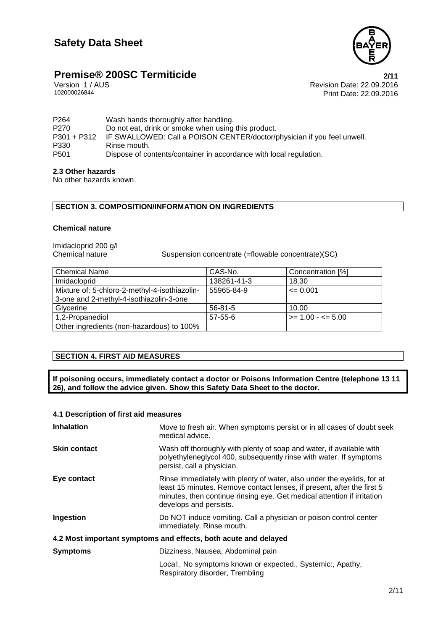

# **Premise® 200SC Termiticide**<br>
Version 1/AUS **2/11**<br>
Revision Date: 22.09.2016

Version 1 / AUS<br>102000026844<br>Print Date: 22.09.2016 Print Date: 22.09.2016

P264 Wash hands thoroughly after handling. P270 Do not eat, drink or smoke when using this product.<br>P301 + P312 IF SWALLOWED: Call a POISON CENTER/doctor/ P301 + P312 IF SWALLOWED: Call a POISON CENTER/doctor/physician if you feel unwell.<br>P330 Rinse mouth. P330 Rinse mouth.<br>P501 Dispose of co Dispose of contents/container in accordance with local regulation.

# **2.3 Other hazards**

No other hazards known.

# **SECTION 3. COMPOSITION/INFORMATION ON INGREDIENTS**

# **Chemical nature**

Imidacloprid 200 g/l

Chemical nature Suspension concentrate (=flowable concentrate)(SC)

| <b>Chemical Name</b>                          | CAS-No.       | Concentration [%]           |
|-----------------------------------------------|---------------|-----------------------------|
| Imidacloprid                                  | 138261-41-3   | 18.30                       |
| Mixture of: 5-chloro-2-methyl-4-isothiazolin- | 55965-84-9    | $\leq 0.001$                |
| 3-one and 2-methyl-4-isothiazolin-3-one       |               |                             |
| Glycerine                                     | $56 - 81 - 5$ | 10.00                       |
| 1,2-Propanediol                               | $57 - 55 - 6$ | $\ge$ = 1.00 - $\le$ = 5.00 |
| Other ingredients (non-hazardous) to 100%     |               |                             |

# **SECTION 4. FIRST AID MEASURES**

**If poisoning occurs, immediately contact a doctor or Poisons Information Centre (telephone 13 11 26), and follow the advice given. Show this Safety Data Sheet to the doctor.**

# **4.1 Description of first aid measures**

| <b>Inhalation</b>                                               | Move to fresh air. When symptoms persist or in all cases of doubt seek<br>medical advice.                                                                                                                                                             |  |
|-----------------------------------------------------------------|-------------------------------------------------------------------------------------------------------------------------------------------------------------------------------------------------------------------------------------------------------|--|
| <b>Skin contact</b>                                             | Wash off thoroughly with plenty of soap and water, if available with<br>polyethyleneglycol 400, subsequently rinse with water. If symptoms<br>persist, call a physician.                                                                              |  |
| Eye contact                                                     | Rinse immediately with plenty of water, also under the eyelids, for at<br>least 15 minutes. Remove contact lenses, if present, after the first 5<br>minutes, then continue rinsing eye. Get medical attention if irritation<br>develops and persists. |  |
| Ingestion                                                       | Do NOT induce vomiting. Call a physician or poison control center<br>immediately. Rinse mouth.                                                                                                                                                        |  |
| 4.2 Most important symptoms and effects, both acute and delayed |                                                                                                                                                                                                                                                       |  |
| <b>Symptoms</b>                                                 | Dizziness, Nausea, Abdominal pain                                                                                                                                                                                                                     |  |
|                                                                 | Local:, No symptoms known or expected., Systemic:, Apathy,<br>Respiratory disorder, Trembling                                                                                                                                                         |  |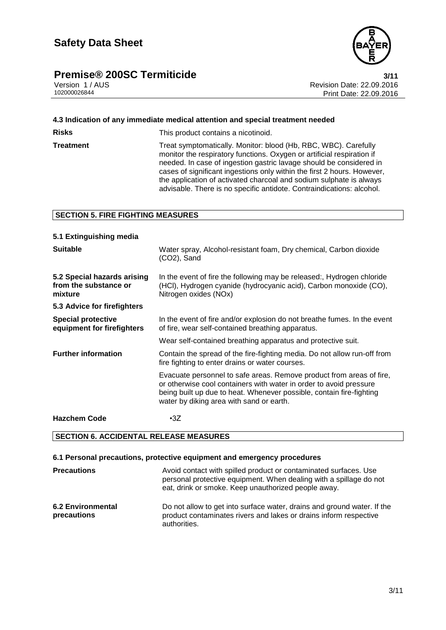# **Premise®** 200SC Termiticide **3/11**



Version 1 / AUS<br>102000026844<br>Print Date: 22.09.2016 Print Date: 22.09.2016

|                                          | 4.3 Indication of any immediate medical attention and special treatment needed                                                                                                                                                                                                                                                                                                                                                              |  |
|------------------------------------------|---------------------------------------------------------------------------------------------------------------------------------------------------------------------------------------------------------------------------------------------------------------------------------------------------------------------------------------------------------------------------------------------------------------------------------------------|--|
| Risks                                    | This product contains a nicotinoid.                                                                                                                                                                                                                                                                                                                                                                                                         |  |
| Treatment                                | Treat symptomatically. Monitor: blood (Hb, RBC, WBC). Carefully<br>monitor the respiratory functions. Oxygen or artificial respiration if<br>needed. In case of ingestion gastric lavage should be considered in<br>cases of significant ingestions only within the first 2 hours. However,<br>the application of activated charcoal and sodium sulphate is always<br>advisable. There is no specific antidote. Contraindications: alcohol. |  |
| <b>SECTION 5. FIRE FIGHTING MEASURES</b> |                                                                                                                                                                                                                                                                                                                                                                                                                                             |  |

### **5.1 Extinguishing media Suitable** Water spray, Alcohol-resistant foam, Dry chemical, Carbon dioxide (CO2), Sand **5.2 Special hazards arising from the substance or mixture** In the event of fire the following may be released:, Hydrogen chloride (HCl), Hydrogen cyanide (hydrocyanic acid), Carbon monoxide (CO), Nitrogen oxides (NOx) **5.3 Advice for firefighters Special protective equipment for firefighters** In the event of fire and/or explosion do not breathe fumes. In the event of fire, wear self-contained breathing apparatus. Wear self-contained breathing apparatus and protective suit. **Further information** Contain the spread of the fire-fighting media. Do not allow run-off from fire fighting to enter drains or water courses. Evacuate personnel to safe areas. Remove product from areas of fire, or otherwise cool containers with water in order to avoid pressure being built up due to heat. Whenever possible, contain fire-fighting water by diking area with sand or earth. **Hazchem Code** •3Z

# **SECTION 6. ACCIDENTAL RELEASE MEASURES**

### **6.1 Personal precautions, protective equipment and emergency procedures**

| <b>Precautions</b>                      | Avoid contact with spilled product or contaminated surfaces. Use<br>personal protective equipment. When dealing with a spillage do not<br>eat, drink or smoke. Keep unauthorized people away. |
|-----------------------------------------|-----------------------------------------------------------------------------------------------------------------------------------------------------------------------------------------------|
| <b>6.2 Environmental</b><br>precautions | Do not allow to get into surface water, drains and ground water. If the<br>product contaminates rivers and lakes or drains inform respective<br>authorities.                                  |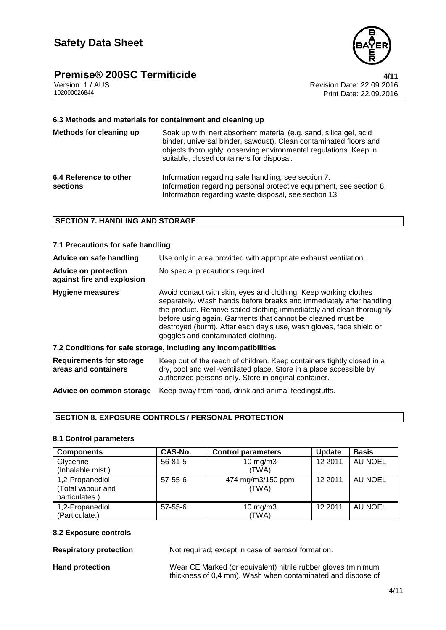# **Premise® 200SC Termiticide**<br>Version 1/AUS **Additioned Authority** Revision Date: 22.09.2016



Version 1 / AUS<br>
102000026844<br>
Print Date: 22.09.2016 Print Date: 22.09.2016

# **6.3 Methods and materials for containment and cleaning up**

| Methods for cleaning up            | Soak up with inert absorbent material (e.g. sand, silica gel, acid<br>binder, universal binder, sawdust). Clean contaminated floors and<br>objects thoroughly, observing environmental regulations. Keep in<br>suitable, closed containers for disposal. |
|------------------------------------|----------------------------------------------------------------------------------------------------------------------------------------------------------------------------------------------------------------------------------------------------------|
| 6.4 Reference to other<br>sections | Information regarding safe handling, see section 7.<br>Information regarding personal protective equipment, see section 8.<br>Information regarding waste disposal, see section 13.                                                                      |

# **SECTION 7. HANDLING AND STORAGE**

| 7.1 Precautions for safe handling                                |                                                                                                                                                                                                                                                                                                                                                                                              |  |
|------------------------------------------------------------------|----------------------------------------------------------------------------------------------------------------------------------------------------------------------------------------------------------------------------------------------------------------------------------------------------------------------------------------------------------------------------------------------|--|
| Advice on safe handling                                          | Use only in area provided with appropriate exhaust ventilation.                                                                                                                                                                                                                                                                                                                              |  |
| <b>Advice on protection</b><br>against fire and explosion        | No special precautions required.                                                                                                                                                                                                                                                                                                                                                             |  |
| Hygiene measures                                                 | Avoid contact with skin, eyes and clothing. Keep working clothes<br>separately. Wash hands before breaks and immediately after handling<br>the product. Remove soiled clothing immediately and clean thoroughly<br>before using again. Garments that cannot be cleaned must be<br>destroyed (burnt). After each day's use, wash gloves, face shield or<br>goggles and contaminated clothing. |  |
| 7.2 Conditions for safe storage, including any incompatibilities |                                                                                                                                                                                                                                                                                                                                                                                              |  |
| <b>Requirements for storage</b><br>areas and containers          | Keep out of the reach of children. Keep containers tightly closed in a<br>dry, cool and well-ventilated place. Store in a place accessible by<br>authorized persons only. Store in original container.                                                                                                                                                                                       |  |
| Advice on common storage                                         | Keep away from food, drink and animal feedingstuffs.                                                                                                                                                                                                                                                                                                                                         |  |

# **SECTION 8. EXPOSURE CONTROLS / PERSONAL PROTECTION**

# **8.1 Control parameters**

| <b>Components</b>                                      | CAS-No.       | <b>Control parameters</b>  | <b>Update</b> | <b>Basis</b>   |
|--------------------------------------------------------|---------------|----------------------------|---------------|----------------|
| Glycerine<br>(Inhalable mist.)                         | $56 - 81 - 5$ | $10$ mg/m $3$<br>(TWA)     | 12 2011       | AU NOEL        |
| 1,2-Propanediol<br>(Total vapour and<br>particulates.) | 57-55-6       | 474 mg/m3/150 ppm<br>(TWA) | 12 2011       | <b>AU NOEL</b> |
| 1,2-Propanediol<br>(Particulate.)                      | $57 - 55 - 6$ | $10$ mg/m $3$<br>(TWA)     | 12 2011       | AU NOEL        |

#### **8.2 Exposure controls**

**Respiratory protection** Not required; except in case of aerosol formation.

Hand protection **Wear CE Marked (or equivalent)** nitrile rubber gloves (minimum thickness of 0,4 mm). Wash when contaminated and dispose of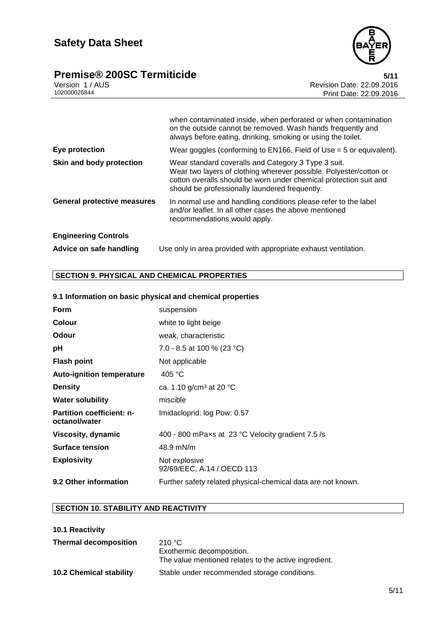



|                                    | when contaminated inside, when perforated or when contamination<br>on the outside cannot be removed. Wash hands frequently and<br>always before eating, drinking, smoking or using the toilet.                                                   |
|------------------------------------|--------------------------------------------------------------------------------------------------------------------------------------------------------------------------------------------------------------------------------------------------|
| Eye protection                     | Wear goggles (conforming to $EN166$ , Field of Use = 5 or equivalent).                                                                                                                                                                           |
| Skin and body protection           | Wear standard coveralls and Category 3 Type 3 suit.<br>Wear two layers of clothing wherever possible. Polyester/cotton or<br>cotton overalls should be worn under chemical protection suit and<br>should be professionally laundered frequently. |
| <b>General protective measures</b> | In normal use and handling conditions please refer to the label<br>and/or leaflet. In all other cases the above mentioned<br>recommendations would apply.                                                                                        |
| <b>Engineering Controls</b>        |                                                                                                                                                                                                                                                  |
| Advice on safe handling            | Use only in area provided with appropriate exhaust ventilation.                                                                                                                                                                                  |

# **SECTION 9. PHYSICAL AND CHEMICAL PROPERTIES**

# **9.1 Information on basic physical and chemical properties**

| <b>Form</b>                                       | suspension                                                   |
|---------------------------------------------------|--------------------------------------------------------------|
| <b>Colour</b>                                     | white to light beige                                         |
| <b>Odour</b>                                      | weak, characteristic                                         |
| рH                                                | 7.0 - 8.5 at 100 % (23 °C)                                   |
| <b>Flash point</b>                                | Not applicable                                               |
| <b>Auto-ignition temperature</b>                  | 405 °C                                                       |
| <b>Density</b>                                    | ca. 1.10 g/cm <sup>3</sup> at 20 °C                          |
| <b>Water solubility</b>                           | miscible                                                     |
| <b>Partition coefficient: n-</b><br>octanol/water | Imidacloprid: log Pow: 0.57                                  |
| Viscosity, dynamic                                | 400 - 800 mPaxs at 23 °C Velocity gradient 7.5 /s            |
| <b>Surface tension</b>                            | 48.9 mN/m                                                    |
| <b>Explosivity</b>                                | Not explosive<br>92/69/EEC, A.14 / OECD 113                  |
| 9.2 Other information                             | Further safety related physical-chemical data are not known. |

# **SECTION 10. STABILITY AND REACTIVITY**

| 210 °C<br>Exothermic decomposition.<br>The value mentioned relates to the active ingredient. |
|----------------------------------------------------------------------------------------------|
| Stable under recommended storage conditions.                                                 |
|                                                                                              |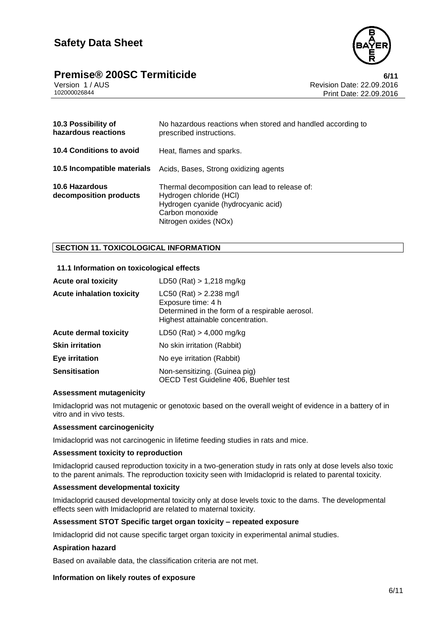



Version 1 / AUS<br>102000026844<br>Print Date: 22.09.2016 Print Date: 22.09.2016

| 10.3 Possibility of<br>hazardous reactions      | No hazardous reactions when stored and handled according to<br>prescribed instructions.                                                                     |
|-------------------------------------------------|-------------------------------------------------------------------------------------------------------------------------------------------------------------|
| <b>10.4 Conditions to avoid</b>                 | Heat, flames and sparks.                                                                                                                                    |
|                                                 | <b>10.5 Incompatible materials</b> Acids, Bases, Strong oxidizing agents                                                                                    |
| <b>10.6 Hazardous</b><br>decomposition products | Thermal decomposition can lead to release of:<br>Hydrogen chloride (HCI)<br>Hydrogen cyanide (hydrocyanic acid)<br>Carbon monoxide<br>Nitrogen oxides (NOx) |

# **SECTION 11. TOXICOLOGICAL INFORMATION**

# **11.1 Information on toxicological effects**

| <b>Acute oral toxicity</b>       | LD50 (Rat) $> 1,218$ mg/kg                                                                                                              |
|----------------------------------|-----------------------------------------------------------------------------------------------------------------------------------------|
| <b>Acute inhalation toxicity</b> | $LC50$ (Rat) > 2.238 mg/l<br>Exposure time: 4 h<br>Determined in the form of a respirable aerosol.<br>Highest attainable concentration. |
| <b>Acute dermal toxicity</b>     | LD50 (Rat) $> 4,000$ mg/kg                                                                                                              |
| <b>Skin irritation</b>           | No skin irritation (Rabbit)                                                                                                             |
| Eye irritation                   | No eye irritation (Rabbit)                                                                                                              |
| <b>Sensitisation</b>             | Non-sensitizing. (Guinea pig)<br>OECD Test Guideline 406, Buehler test                                                                  |

## **Assessment mutagenicity**

Imidacloprid was not mutagenic or genotoxic based on the overall weight of evidence in a battery of in vitro and in vivo tests.

# **Assessment carcinogenicity**

Imidacloprid was not carcinogenic in lifetime feeding studies in rats and mice.

### **Assessment toxicity to reproduction**

Imidacloprid caused reproduction toxicity in a two-generation study in rats only at dose levels also toxic to the parent animals. The reproduction toxicity seen with Imidacloprid is related to parental toxicity.

# **Assessment developmental toxicity**

Imidacloprid caused developmental toxicity only at dose levels toxic to the dams. The developmental effects seen with Imidacloprid are related to maternal toxicity.

### **Assessment STOT Specific target organ toxicity – repeated exposure**

Imidacloprid did not cause specific target organ toxicity in experimental animal studies.

# **Aspiration hazard**

Based on available data, the classification criteria are not met.

# **Information on likely routes of exposure**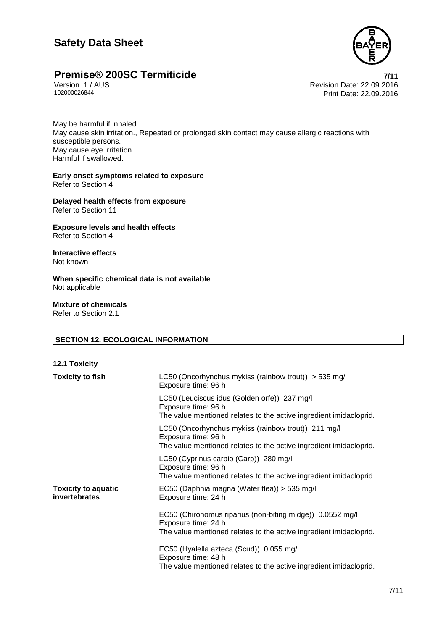# **Safety Data Sheet**



# **Premise® 200SC Termiticide**<br>
Version 1/AUS<br>
Revision Date: 22.09.2016

Version 1 / AUS<br>
102000026844<br>
Print Date: 22.09.2016 Print Date: 22.09.2016

May be harmful if inhaled. May cause skin irritation., Repeated or prolonged skin contact may cause allergic reactions with susceptible persons. May cause eye irritation. Harmful if swallowed.

**Early onset symptoms related to exposure** Refer to Section 4

**Delayed health effects from exposure** Refer to Section 11

**Exposure levels and health effects** Refer to Section 4

**Interactive effects** Not known

**When specific chemical data is not available** Not applicable

**Mixture of chemicals** Refer to Section 2.1

# **SECTION 12. ECOLOGICAL INFORMATION**

| <b>12.1 Toxicity</b>                        |                                                                                                                                                        |
|---------------------------------------------|--------------------------------------------------------------------------------------------------------------------------------------------------------|
| <b>Toxicity to fish</b>                     | LC50 (Oncorhynchus mykiss (rainbow trout)) $>$ 535 mg/l<br>Exposure time: 96 h                                                                         |
|                                             | LC50 (Leuciscus idus (Golden orfe)) 237 mg/l<br>Exposure time: 96 h<br>The value mentioned relates to the active ingredient imidacloprid.              |
|                                             | LC50 (Oncorhynchus mykiss (rainbow trout)) 211 mg/l<br>Exposure time: 96 h<br>The value mentioned relates to the active ingredient imidacloprid.       |
|                                             | LC50 (Cyprinus carpio (Carp)) 280 mg/l<br>Exposure time: 96 h<br>The value mentioned relates to the active ingredient imidacloprid.                    |
| <b>Toxicity to aquatic</b><br>invertebrates | EC50 (Daphnia magna (Water flea)) > 535 mg/l<br>Exposure time: 24 h                                                                                    |
|                                             | EC50 (Chironomus riparius (non-biting midge)) 0.0552 mg/l<br>Exposure time: 24 h<br>The value mentioned relates to the active ingredient imidacloprid. |
|                                             | EC50 (Hyalella azteca (Scud)) 0.055 mg/l<br>Exposure time: 48 h<br>The value mentioned relates to the active ingredient imidacloprid.                  |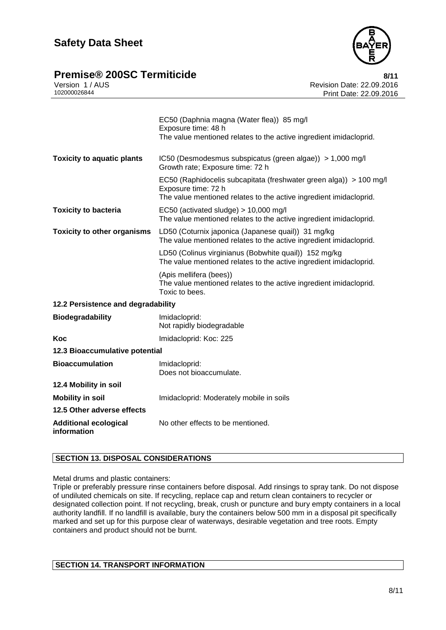

# **Premise®** 200SC Termiticide **8/11**

|              | Version 1/AUS |  |
|--------------|---------------|--|
| 102000026844 |               |  |

|                                             | EC50 (Daphnia magna (Water flea)) 85 mg/l<br>Exposure time: 48 h<br>The value mentioned relates to the active ingredient imidacloprid.                          |  |
|---------------------------------------------|-----------------------------------------------------------------------------------------------------------------------------------------------------------------|--|
| <b>Toxicity to aquatic plants</b>           | IC50 (Desmodesmus subspicatus (green algae)) > 1,000 mg/l<br>Growth rate; Exposure time: 72 h                                                                   |  |
|                                             | EC50 (Raphidocelis subcapitata (freshwater green alga)) > 100 mg/l<br>Exposure time: 72 h<br>The value mentioned relates to the active ingredient imidacloprid. |  |
| <b>Toxicity to bacteria</b>                 | EC50 (activated sludge) $> 10,000$ mg/l<br>The value mentioned relates to the active ingredient imidacloprid.                                                   |  |
| <b>Toxicity to other organisms</b>          | LD50 (Coturnix japonica (Japanese quail)) 31 mg/kg<br>The value mentioned relates to the active ingredient imidacloprid.                                        |  |
|                                             | LD50 (Colinus virginianus (Bobwhite quail)) 152 mg/kg<br>The value mentioned relates to the active ingredient imidacloprid.                                     |  |
|                                             | (Apis mellifera (bees))<br>The value mentioned relates to the active ingredient imidacloprid.<br>Toxic to bees.                                                 |  |
| 12.2 Persistence and degradability          |                                                                                                                                                                 |  |
| <b>Biodegradability</b>                     | Imidacloprid:<br>Not rapidly biodegradable                                                                                                                      |  |
| Koc                                         | Imidacloprid: Koc: 225                                                                                                                                          |  |
| 12.3 Bioaccumulative potential              |                                                                                                                                                                 |  |
| <b>Bioaccumulation</b>                      | Imidacloprid:<br>Does not bioaccumulate.                                                                                                                        |  |
| 12.4 Mobility in soil                       |                                                                                                                                                                 |  |
| <b>Mobility in soil</b>                     | Imidacloprid: Moderately mobile in soils                                                                                                                        |  |
| 12.5 Other adverse effects                  |                                                                                                                                                                 |  |
| <b>Additional ecological</b><br>information | No other effects to be mentioned.                                                                                                                               |  |

# **SECTION 13. DISPOSAL CONSIDERATIONS**

Metal drums and plastic containers:

Triple or preferably pressure rinse containers before disposal. Add rinsings to spray tank. Do not dispose of undiluted chemicals on site. If recycling, replace cap and return clean containers to recycler or designated collection point. If not recycling, break, crush or puncture and bury empty containers in a local authority landfill. If no landfill is available, bury the containers below 500 mm in a disposal pit specifically marked and set up for this purpose clear of waterways, desirable vegetation and tree roots. Empty containers and product should not be burnt.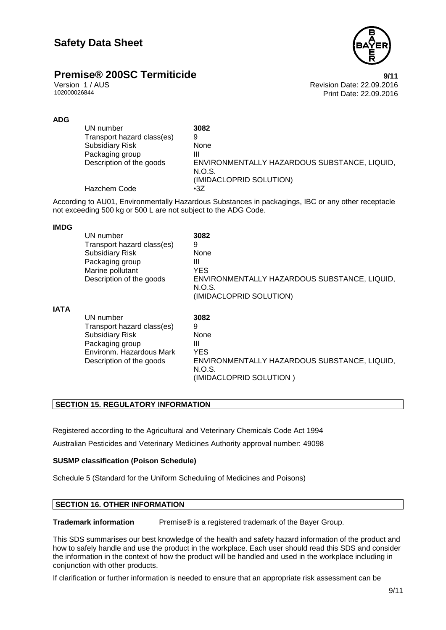

# **Premise®** 200SC Termiticide **19/11** 9/11

Version 1 / AUS<br>102000026844<br>Print Date: 22.09.2016 Print Date: 22.09.2016

# **ADG**

| 3082<br>UN number                                                                  |  |
|------------------------------------------------------------------------------------|--|
| Transport hazard class(es)<br>9                                                    |  |
| <b>Subsidiary Risk</b><br>None                                                     |  |
| Packaging group<br>Ш                                                               |  |
| Description of the goods<br>ENVIRONMENTALLY HAZARDOUS SUBSTANCE, LIQUID,<br>N.O.S. |  |
| (IMIDACLOPRID SOLUTION)                                                            |  |
| Hazchem Code<br>$\cdot$ 3Z                                                         |  |

According to AU01, Environmentally Hazardous Substances in packagings, IBC or any other receptacle not exceeding 500 kg or 500 L are not subject to the ADG Code.

# **IMDG**

|             | UN number<br>Transport hazard class(es)<br><b>Subsidiary Risk</b><br>Packaging group<br>Marine pollutant<br>Description of the goods         | 3082<br>9<br>None<br>Ш<br>YES<br>ENVIRONMENTALLY HAZARDOUS SUBSTANCE, LIQUID,<br>N.O.S.<br>(IMIDACLOPRID SOLUTION) |
|-------------|----------------------------------------------------------------------------------------------------------------------------------------------|--------------------------------------------------------------------------------------------------------------------|
| <b>IATA</b> | UN number<br>Transport hazard class(es)<br><b>Subsidiary Risk</b><br>Packaging group<br>Environm. Hazardous Mark<br>Description of the goods | 3082<br>9<br>None<br>Ш<br>YES<br>ENVIRONMENTALLY HAZARDOUS SUBSTANCE, LIQUID,<br>N.O.S.<br>(IMIDACLOPRID SOLUTION) |

# **SECTION 15. REGULATORY INFORMATION**

Registered according to the Agricultural and Veterinary Chemicals Code Act 1994

Australian Pesticides and Veterinary Medicines Authority approval number: 49098

# **SUSMP classification (Poison Schedule)**

Schedule 5 (Standard for the Uniform Scheduling of Medicines and Poisons)

# **SECTION 16. OTHER INFORMATION**

**Trademark information** Premise® is a registered trademark of the Bayer Group.

This SDS summarises our best knowledge of the health and safety hazard information of the product and how to safely handle and use the product in the workplace. Each user should read this SDS and consider the information in the context of how the product will be handled and used in the workplace including in conjunction with other products.

If clarification or further information is needed to ensure that an appropriate risk assessment can be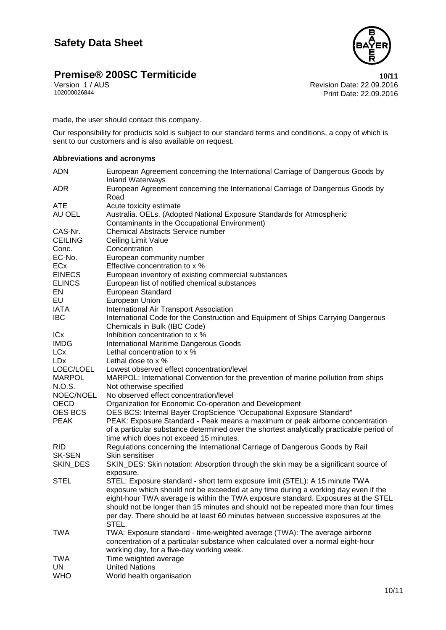# **Premise® 200SC Termiticide**<br>10/11 Version 1/AUS **10/12 Version 1/AUS**



Version 1 / AUS Revision Date: 22.09.2016 Print Date: 22.09.2016

made, the user should contact this company.

Our responsibility for products sold is subject to our standard terms and conditions, a copy of which is sent to our customers and is also available on request.

# **Abbreviations and acronyms**

| <b>ADN</b>     | European Agreement concerning the International Carriage of Dangerous Goods by<br><b>Inland Waterways</b> |
|----------------|-----------------------------------------------------------------------------------------------------------|
| <b>ADR</b>     | European Agreement concerning the International Carriage of Dangerous Goods by<br>Road                    |
| <b>ATE</b>     | Acute toxicity estimate                                                                                   |
| AU OEL         | Australia. OELs. (Adopted National Exposure Standards for Atmospheric                                     |
|                | Contaminants in the Occupational Environment)                                                             |
| CAS-Nr.        | <b>Chemical Abstracts Service number</b>                                                                  |
| <b>CEILING</b> | Ceiling Limit Value                                                                                       |
| Conc.          | Concentration                                                                                             |
| EC-No.         | European community number                                                                                 |
| <b>ECx</b>     | Effective concentration to x %                                                                            |
| <b>EINECS</b>  | European inventory of existing commercial substances                                                      |
| <b>ELINCS</b>  | European list of notified chemical substances                                                             |
| EN             | European Standard                                                                                         |
| EU             | European Union                                                                                            |
| <b>IATA</b>    | International Air Transport Association                                                                   |
| <b>IBC</b>     | International Code for the Construction and Equipment of Ships Carrying Dangerous                         |
|                | Chemicals in Bulk (IBC Code)                                                                              |
| ICx            | Inhibition concentration to x %                                                                           |
| <b>IMDG</b>    | <b>International Maritime Dangerous Goods</b>                                                             |
| <b>LCx</b>     | Lethal concentration to x %                                                                               |
| <b>LDx</b>     | Lethal dose to x %                                                                                        |
| LOEC/LOEL      | Lowest observed effect concentration/level                                                                |
| <b>MARPOL</b>  | MARPOL: International Convention for the prevention of marine pollution from ships                        |
| N.O.S.         | Not otherwise specified                                                                                   |
| NOEC/NOEL      | No observed effect concentration/level                                                                    |
| <b>OECD</b>    | Organization for Economic Co-operation and Development                                                    |
| <b>OES BCS</b> | OES BCS: Internal Bayer CropScience "Occupational Exposure Standard"                                      |
| <b>PEAK</b>    | PEAK: Exposure Standard - Peak means a maximum or peak airborne concentration                             |
|                | of a particular substance determined over the shortest analytically practicable period of                 |
|                | time which does not exceed 15 minutes.                                                                    |
| <b>RID</b>     | Regulations concerning the International Carriage of Dangerous Goods by Rail                              |
| <b>SK-SEN</b>  | Skin sensitiser                                                                                           |
| SKIN_DES       | SKIN_DES: Skin notation: Absorption through the skin may be a significant source of                       |
|                | exposure.                                                                                                 |
| <b>STEL</b>    | STEL: Exposure standard - short term exposure limit (STEL): A 15 minute TWA                               |
|                | exposure which should not be exceeded at any time during a working day even if the                        |
|                | eight-hour TWA average is within the TWA exposure standard. Exposures at the STEL                         |
|                | should not be longer than 15 minutes and should not be repeated more than four times                      |
|                | per day. There should be at least 60 minutes between successive exposures at the                          |
|                | STEL.                                                                                                     |
| <b>TWA</b>     | TWA: Exposure standard - time-weighted average (TWA): The average airborne                                |
|                | concentration of a particular substance when calculated over a normal eight-hour                          |
|                | working day, for a five-day working week.                                                                 |
| <b>TWA</b>     | Time weighted average                                                                                     |
| <b>UN</b>      | <b>United Nations</b>                                                                                     |
| <b>WHO</b>     | World health organisation                                                                                 |